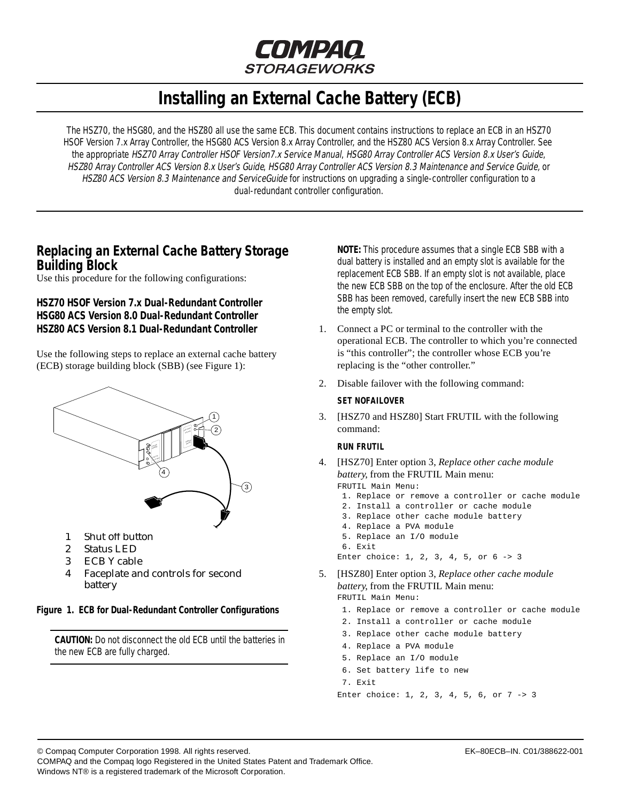

# **Installing an External Cache Battery (ECB)**

<span id="page-0-0"></span>The HSZ70, the HSG80, and the HSZ80 all use the same ECB. This document contains instructions to replace an ECB in an HSZ70 HSOF Version 7.x Array Controller, the HSG80 ACS Version 8.x Array Controller, and the HSZ80 ACS Version 8.x Array Controller. See the appropriate HSZ70 Array Controller HSOF Version7.x Service Manual, HSG80 Array Controller ACS Version 8.x User's Guide, HSZ80 Array Controller ACS Version 8.x User's Guide, HSG80 Array Controller ACS Version 8.3 Maintenance and Service Guide, or HSZ80 ACS Version 8.3 Maintenance and ServiceGuide for instructions on upgrading a single-controller configuration to a dual-redundant controller configuration.

# **Replacing an External Cache Battery Storage Building Block**

Use this procedure for the following configurations:

## **HSZ70 HSOF Version 7.x Dual-Redundant Controller HSG80 ACS Version 8.0 Dual-Redundant Controller HSZ80 ACS Version 8.1 Dual-Redundant Controller**

Use the following steps to replace an external cache battery (ECB) storage building block (SBB) (see Figure 1):



- 1 Shut off button
- 2 Status LED
- 3 ECB Y cable
- 4 Faceplate and controls for second battery

**Figure 1. ECB for Dual-Redundant Controller Configurations**

**CAUTION:** Do not disconnect the old ECB until the batteries in the new ECB are fully charged.

**NOTE:** This procedure assumes that a single ECB SBB with a dual battery is installed and an empty slot is available for the replacement ECB SBB. If an empty slot is not available, place the new ECB SBB on the top of the enclosure. After the old ECB SBB has been removed, carefully insert the new ECB SBB into the empty slot.

- 1. Connect a PC or terminal to the controller with the operational ECB. The controller to which you're connected is "this controller"; the controller whose ECB you're replacing is the "other controller."
- 2. Disable failover with the following command:

#### **SET NOFAILOVER**

3. [HSZ70 and HSZ80] Start FRUTIL with the following command:

#### **RUN FRUTIL**

4. [HSZ70] Enter option 3, *Replace other cache module battery*, from the FRUTIL Main menu:

FRUTIL Main Menu:

- 1. Replace or remove a controller or cache module
- 2. Install a controller or cache module 3. Replace other cache module battery
- 
- 4. Replace a PVA module 5. Replace an I/O module
- 6. Exit

Enter choice: 1, 2, 3, 4, 5, or 6 -> 3

- 5. [HSZ80] Enter option 3, *Replace other cache module battery*, from the FRUTIL Main menu: FRUTIL Main Menu:
	- 1. Replace or remove a controller or cache module
	- 2. Install a controller or cache module
	- 3. Replace other cache module battery
	- 4. Replace a PVA module
	- 5. Replace an I/O module
	- 6. Set battery life to new

7. Exit

Enter choice: 1, 2, 3, 4, 5, 6, or 7 -> 3

© Compaq Computer Corporation 1998. All rights reserved. EK–80ECB–IN. C01/388622-001

COMPAQ and the Compaq logo Registered in the United States Patent and Trademark Office.

Windows NT® is a registered trademark of the Microsoft Corporation.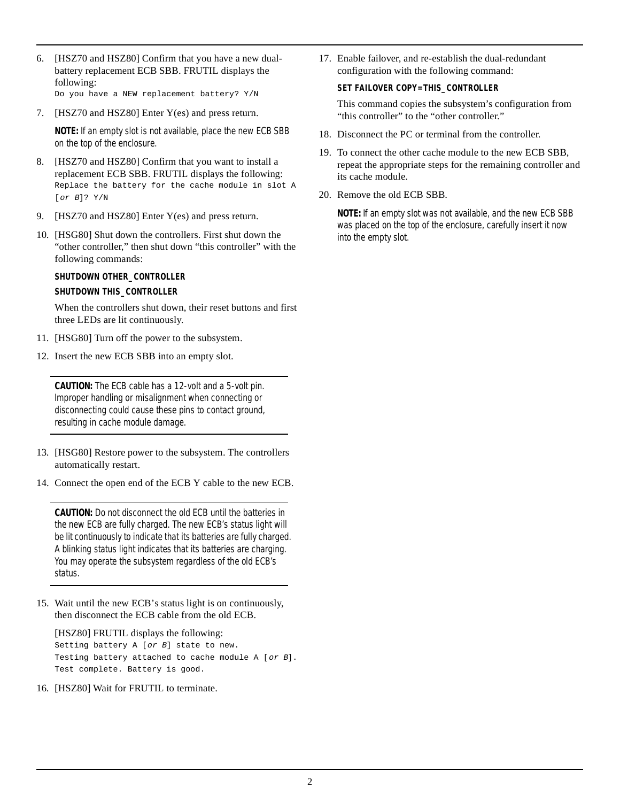- 6. [HSZ70 and HSZ80] Confirm that you have a new dualbattery replacement ECB SBB. FRUTIL displays the following: Do you have a NEW replacement battery? Y/N
- 7. [HSZ70 and HSZ80] Enter Y(es) and press return.

**NOTE:** If an empty slot is not available, place the new ECB SBB on the top of the enclosure.

- 8. [HSZ70 and HSZ80] Confirm that you want to install a replacement ECB SBB. FRUTIL displays the following: Replace the battery for the cache module in slot A [or B]? Y/N
- 9. [HSZ70 and HSZ80] Enter Y(es) and press return.
- 10. [HSG80] Shut down the controllers. First shut down the "other controller," then shut down "this controller" with the following commands:

#### **SHUTDOWN OTHER\_CONTROLLER**

#### **SHUTDOWN THIS\_CONTROLLER**

When the controllers shut down, their reset buttons and first three LEDs are lit continuously.

- 11. [HSG80] Turn off the power to the subsystem.
- 12. Insert the new ECB SBB into an empty slot.

**CAUTION:** The ECB cable has a 12-volt and a 5-volt pin. Improper handling or misalignment when connecting or disconnecting could cause these pins to contact ground, resulting in cache module damage.

- 13. [HSG80] Restore power to the subsystem. The controllers automatically restart.
- 14. Connect the open end of the ECB Y cable to the new ECB.

**CAUTION:** Do not disconnect the old ECB until the batteries in the new ECB are fully charged. The new ECB's status light will be lit continuously to indicate that its batteries are fully charged. A blinking status light indicates that its batteries are charging. You may operate the subsystem regardless of the old ECB's status.

15. Wait until the new ECB's status light is on continuously, then disconnect the ECB cable from the old ECB.

[HSZ80] FRUTIL displays the following: Setting battery A [or B] state to new. Testing battery attached to cache module A [or B]. Test complete. Battery is good.

16. [HSZ80] Wait for FRUTIL to terminate.

17. Enable failover, and re-establish the dual-redundant configuration with the following command:

#### **SET FAILOVER COPY=THIS\_CONTROLLER**

This command copies the subsystem's configuration from "this controller" to the "other controller."

- 18. Disconnect the PC or terminal from the controller.
- 19. To connect the other cache module to the new ECB SBB, repeat the appropriate steps for the remaining controller and its cache module.
- 20. Remove the old ECB SBB.

**NOTE:** If an empty slot was not available, and the new ECB SBB was placed on the top of the enclosure, carefully insert it now into the empty slot.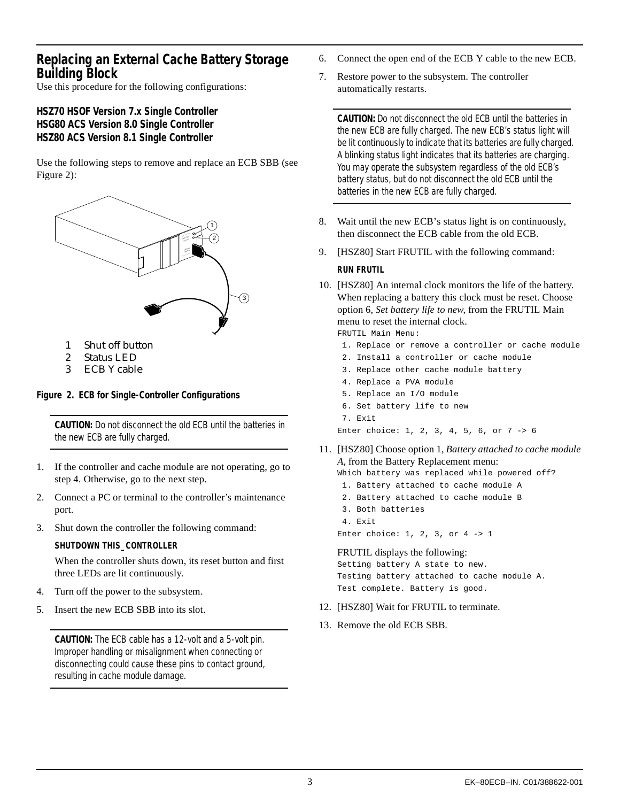# <span id="page-2-0"></span>**Replacing an External Cache Battery Storage Building Block**

Use this procedure for the following configurations:

# **HSZ70 HSOF Version 7.x Single Controller HSG80 ACS Version 8.0 Single Controller HSZ80 ACS Version 8.1 Single Controller**

Use the following steps to remove and replace an ECB SBB (see Figure 2):



- 1 Shut off button
- 2 Status LED
- 3 ECB Y cable

### **Figure 2. ECB for Single-Controller Configurations**

**CAUTION:** Do not disconnect the old ECB until the batteries in the new ECB are fully charged.

- 1. If the controller and cache module are not operating, go to step 4. Otherwise, go to the next step.
- 2. Connect a PC or terminal to the controller's maintenance port.
- 3. Shut down the controller the following command:

#### **SHUTDOWN THIS\_CONTROLLER**

When the controller shuts down, its reset button and first three LEDs are lit continuously.

- 4. Turn off the power to the subsystem.
- 5. Insert the new ECB SBB into its slot.

**CAUTION:** The ECB cable has a 12-volt and a 5-volt pin. Improper handling or misalignment when connecting or disconnecting could cause these pins to contact ground, resulting in cache module damage.

- 6. Connect the open end of the ECB Y cable to the new ECB.
- 7. Restore power to the subsystem. The controller automatically restarts.

**CAUTION:** Do not disconnect the old ECB until the batteries in the new ECB are fully charged. The new ECB's status light will be lit continuously to indicate that its batteries are fully charged. A blinking status light indicates that its batteries are charging. You may operate the subsystem regardless of the old ECB's battery status, but do not disconnect the old ECB until the batteries in the new ECB are fully charged.

- 8. Wait until the new ECB's status light is on continuously, then disconnect the ECB cable from the old ECB.
- 9. [HSZ80] Start FRUTIL with the following command:

#### **RUN FRUTIL**

10. [HSZ80] An internal clock monitors the life of the battery. When replacing a battery this clock must be reset. Choose option 6, *Set battery life to new*, from the FRUTIL Main menu to reset the internal clock.

FRUTIL Main Menu:

- 1. Replace or remove a controller or cache module
- 2. Install a controller or cache module
- 3. Replace other cache module battery
- 4. Replace a PVA module
- 5. Replace an I/O module
- 6. Set battery life to new
- 7. Exit

Enter choice: 1, 2, 3, 4, 5, 6, or 7 -> 6

11. [HSZ80] Choose option 1, *Battery attached to cache module A*, from the Battery Replacement menu:

Which battery was replaced while powered off?

- 1. Battery attached to cache module A
- 2. Battery attached to cache module B
- 3. Both batteries
- 4. Exit Enter choice: 1, 2, 3, or 4 -> 1

#### FRUTIL displays the following:

Setting battery A state to new. Testing battery attached to cache module A. Test complete. Battery is good.

- 12. [HSZ80] Wait for FRUTIL to terminate.
- 13. Remove the old ECB SBB.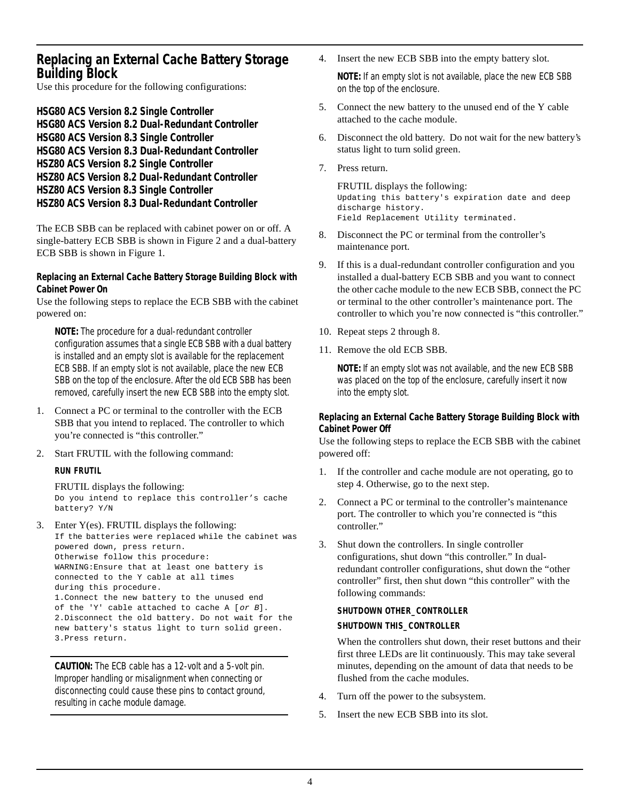# **Replacing an External Cache Battery Storage Building Block**

Use this procedure for the following configurations:

**HSG80 ACS Version 8.2 Single Controller HSG80 ACS Version 8.2 Dual-Redundant Controller HSG80 ACS Version 8.3 Single Controller HSG80 ACS Version 8.3 Dual-Redundant Controller HSZ80 ACS Version 8.2 Single Controller HSZ80 ACS Version 8.2 Dual-Redundant Controller HSZ80 ACS Version 8.3 Single Controller HSZ80 ACS Version 8.3 Dual-Redundant Controller**

The ECB SBB can be replaced with cabinet power on or off. A single-battery ECB SBB is shown i[n Figure 2](#page-2-0) and a dual-battery ECB SBB is shown in [Figure 1](#page-0-0).

### **Replacing an External Cache Battery Storage Building Block with Cabinet Power On**

Use the following steps to replace the ECB SBB with the cabinet powered on:

**NOTE:** The procedure for a dual-redundant controller configuration assumes that a single ECB SBB with a dual battery is installed and an empty slot is available for the replacement ECB SBB. If an empty slot is not available, place the new ECB SBB on the top of the enclosure. After the old ECB SBB has been removed, carefully insert the new ECB SBB into the empty slot.

- 1. Connect a PC or terminal to the controller with the ECB SBB that you intend to replaced. The controller to which you're connected is "this controller."
- 2. Start FRUTIL with the following command:

### **RUN FRUTIL**

# FRUTIL displays the following:

Do you intend to replace this controller's cache battery? Y/N

3. Enter Y(es). FRUTIL displays the following: If the batteries were replaced while the cabinet was powered down, press return. Otherwise follow this procedure: WARNING:Ensure that at least one battery is connected to the Y cable at all times during this procedure. 1.Connect the new battery to the unused end of the 'Y' cable attached to cache A [or B]. 2.Disconnect the old battery. Do not wait for the new battery's status light to turn solid green. 3.Press return.

**CAUTION:** The ECB cable has a 12-volt and a 5-volt pin. Improper handling or misalignment when connecting or disconnecting could cause these pins to contact ground, resulting in cache module damage.

4. Insert the new ECB SBB into the empty battery slot.

**NOTE:** If an empty slot is not available, place the new ECB SBB on the top of the enclosure.

- 5. Connect the new battery to the unused end of the Y cable attached to the cache module.
- 6. Disconnect the old battery. Do not wait for the new battery's status light to turn solid green.
- 7. Press return.

FRUTIL displays the following: Updating this battery's expiration date and deep discharge history. Field Replacement Utility terminated.

- 8. Disconnect the PC or terminal from the controller's maintenance port.
- 9. If this is a dual-redundant controller configuration and you installed a dual-battery ECB SBB and you want to connect the other cache module to the new ECB SBB, connect the PC or terminal to the other controller's maintenance port. The controller to which you're now connected is "this controller."
- 10. Repeat steps 2 through 8.
- 11. Remove the old ECB SBB.

**NOTE:** If an empty slot was not available, and the new ECB SBB was placed on the top of the enclosure, carefully insert it now into the empty slot.

### **Replacing an External Cache Battery Storage Building Block with Cabinet Power Off**

Use the following steps to replace the ECB SBB with the cabinet powered off:

- 1. If the controller and cache module are not operating, go to step 4. Otherwise, go to the next step.
- 2. Connect a PC or terminal to the controller's maintenance port. The controller to which you're connected is "this controller."
- 3. Shut down the controllers. In single controller configurations, shut down "this controller." In dualredundant controller configurations, shut down the "other controller" first, then shut down "this controller" with the following commands:

#### **SHUTDOWN OTHER\_CONTROLLER**

#### **SHUTDOWN THIS\_CONTROLLER**

When the controllers shut down, their reset buttons and their first three LEDs are lit continuously. This may take several minutes, depending on the amount of data that needs to be flushed from the cache modules.

- 4. Turn off the power to the subsystem.
- 5. Insert the new ECB SBB into its slot.